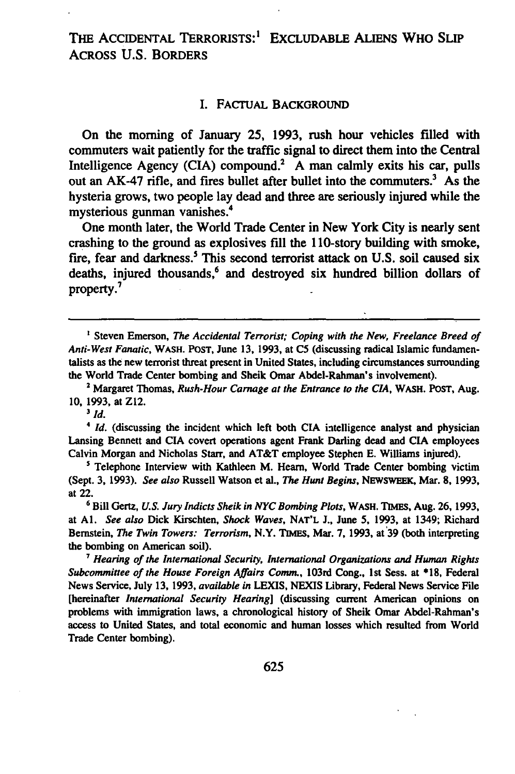#### I. FACTUAL BACKGROUND

On the morning of January 25, **1993,** rush hour vehicles filled with commuters wait patiently for the traffic signal to direct them into the Central Intelligence Agency (CIA) compound.<sup>2</sup> A man calmly exits his car, pulls out an AK-47 rifle, and fires bullet after bullet into the commuters.<sup>3</sup> As the hysteria grows, two people lay dead and three are seriously injured while the mysterious gunman vanishes.4

One month later, the World Trade Center in New York City is nearly sent crashing to the ground as explosives fill the 110-story building with smoke, fire, fear and darkness.<sup>5</sup> This second terrorist attack on U.S. soil caused six deaths, injured thousands,<sup>6</sup> and destroyed six hundred billion dollars of property.<sup>7</sup>

**3** *Id.*

*4 Id.* (discussing the incident which left both **CIA** intelligence analyst and physician Lansing Bennett and **CIA** covert operations agent Frank Darling dead and **CIA** employees Calvin Morgan and Nicholas Starr, and AT&T employee Stephen **E.** Williams injured).

<sup>5</sup> Telephone Interview with Kathleen M. Hearn, World Trade Center bombing victim (Sept. **3, 1993).** *See also* Russell Watson et al., *The Hunt Begins,* **NEWSWEEK,** Mar. **8, 1993,** at 22.

**6Bill** Gertz, *U.S. Jury Indicts Sheik in NYC Bombing Plots,* WASH. **TIMES,** Aug. **26, 1993,** at **Al.** *See also* Dick Kirschten, *Shock Waves,* **NAT'L J.,** June **5, 1993,** at 1349; Richard Bernstein, *The Twin Towers: Terrorism,* N.Y. **TIMES,** Mar. **7, 1993,** at **39** (both interpreting the bombing on American soil).

*" Hearing of the International Security, International Organizations and Human Rights Subcommittee of the House Foreign Affairs Comm.,* 103rd Cong., **1st** Sess. at **\*18,** Federal News Service, July **13, 1993,** *available in* LEXIS, **NEXIS** Library, Federal News Service File [hereinafter *International Security Hearing]* (discussing current American opinions on problems with immigration laws, a chronological history of Sheik Omar Abdel-Rahman's access to United States, and total economic and human losses which resulted from World Trade Center bombing).

<sup>&</sup>lt;sup>1</sup> Steven Emerson, *The Accidental Terrorist; Coping with the New, Freelance Breed of Anti-West Fanatic,* **WASH. POST,** June **13, 1993,** at **C5** (discussing radical Islamic fundamentalists as the new terrorist threat present in United States, including circumstances surrounding the World Trade Center bombing and Sheik Omar Abdel-Rahman's involvement).

<sup>2</sup> Margaret Thomas, *Rush-Hour Carnage at the Entrance to the CIA,* WASH. POST, Aug. **10, 1993,** at Z12.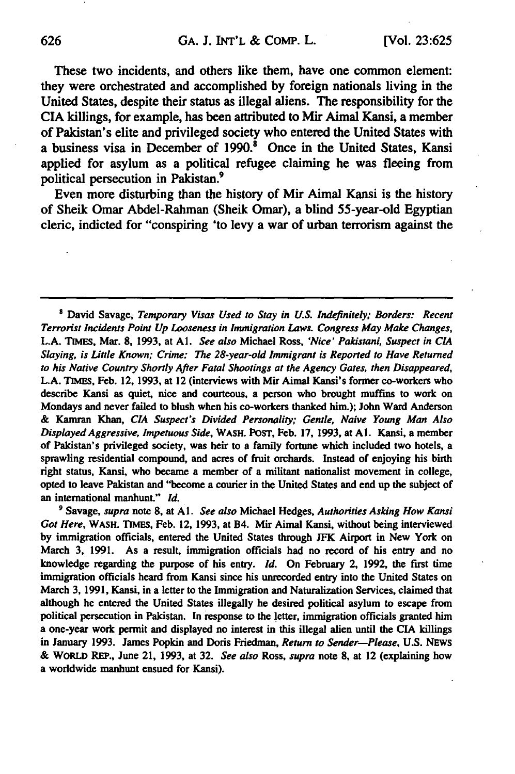These two incidents, and others like them, have one common element: they were orchestrated and accomplished **by** foreign nationals living in the United States, despite their status as illegal aliens. The responsibility for the CIA killings, for example, has been attributed to Mir Aimal Kansi, a member of Pakistan's elite and privileged society who entered the United States with a business visa in December of **1990.8** Once in the United States, Kansi applied for asylum as a political refugee claiming he was fleeing from political persecution in Pakistan.<sup>9</sup>

Even more disturbing than the history of Mir Aimal Kansi is the history of Sheik Omar Abdel-Rahman (Sheik Omar), a blind 55-year-old Egyptian cleric, indicted for "conspiring 'to levy a war of urban terrorism against the

David Savage, *Temporary Visas Used to Stay in U.S. Indefinitely; Borders: Recent Terrorist Incidents Point Up Looseness in Immigration Laws. Congress May Make Changes,* **L.A. TIMES,** Mar. **8, 1993,** at *Al. See also* Michael Ross, *'Nice' Pakistani, Suspect in CIA Slaying, is Little Known; Crime: The 28-year-old Immigrant is Reported to Have Returned to his Native Country Shortly After Fatal Shootings at the Agency Gates, then Disappeared,* **L.A. TIMES,** Feb. 12, **1993,** at 12 (interviews with Mir Aimal Kansi's former co-workers who describe Kansi as quiet, nice and courteous, a person who brought muffins to work on Mondays and never failed to blush when his co-workers thanked him.); John Ward Anderson **&** Kamran Khan, *CIA Suspect's Divided Personality; Gentle, Naive Young Man Also Displayed Aggressive, Impetuous Side,* **WASH.** POST, Feb. **17, 1993,** at **Al.** Kansi, a member of Pakistan's privileged society, was heir to a family fortune which included two hotels, a sprawling residential compound, and acres of fruit orchards. Instead of enjoying his birth right status, Kansi, who became a member of a militant nationalist movement in college, opted to leave Pakistan and "become a courier in the United States and end up the subject of an international manhunt." *Id.*

**'** Savage, *supra* note **8,** at **Al.** *See also* Michael Hedges, *Authorities Asking How Kansi Got Here,* WASH. **TIMES,** Feb. 12, **1993,** at B4. Mir Aimal Kansi, without being interviewed **by** immigration officials, entered the United States through **JFK** Airport in New York on March **3, 1991.** As a result, immigration officials had no record of his entry and no knowledge regarding the purpose of his entry. *Id.* On February 2, **1992,** the first time immigration officials heard from Kansi since his unrecorded entry into the United States on March **3, 1991,** Kansi, in a letter to the Immigration and Naturalization Services, claimed that although he entered the United States illegally he desired political asylum to escape from political persecution in Pakistan. In response to the letter, immigration officials granted him a one-year work permit and displayed no interest in this illegal alien until the **CIA** killings in January **1993.** James Popkin and Doris Friedman, *Return to Sender-Please,* **U.S.** NEWS **&** WORLD REP., June 21, **1993,** at **32.** *See also* Ross, *supra* note **8,** at 12 (explaining how a worldwide manhunt ensued for Kansi).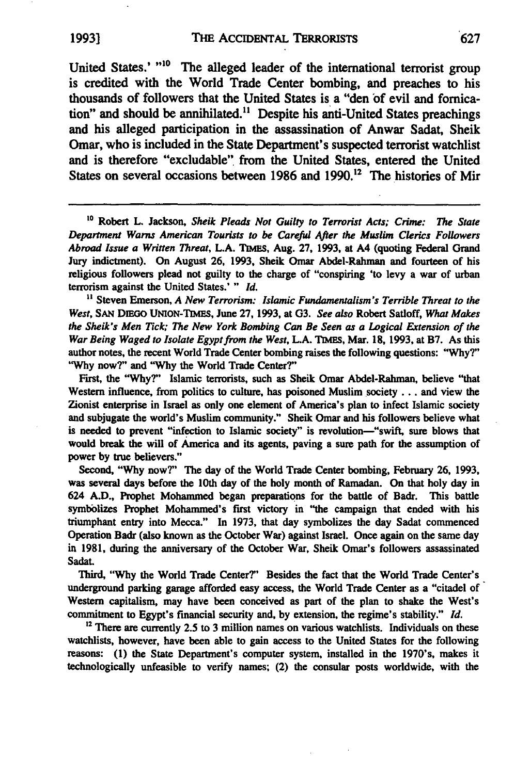United States.' "<sup>10</sup> The alleged leader of the international terrorist group is credited with the World Trade Center bombing, and preaches to his thousands of followers that the United States is a "den **of** evil and fornication" and should be annihilated.<sup>11</sup> Despite his anti-United States preachings and his alleged participation in the assassination of Anwar Sadat, Sheik Omar, who is included in the State Department's suspected terrorist watchlist and is therefore "excludable" from the United States, entered the United States on several occasions between 1986 and 1990.<sup>12</sup> The histories of Mir

**'o** Robert L. Jackson, *Sheik Pleads Not Guilty to Terrorist Acts; Crime: The State Department Warns American Tourists to be Carefid After the Muslim Clerics Followers Abroad Issue a Written* **Threat, L.A. TIMES,** Aug. **27, 1993,** at A4 (quoting Federal Grand Jury indictment). On August **26, 1993,** Sheik Omar Abdel-Rahman and fourteen of his religious followers plead not guilty to the charge of "conspiring 'to levy a war of urban terrorism against the United States.' **"** *Id.*

**"** Steven Emerson, *A New Terrorism: Islamic Fundamentalism's Terrible Threat to the West,* **SAN** DmGo UNION-Tm, June **27, 1993,** at **G3.** *See also* Robert Satloff, *What Makes the Sheik's Men Tick; The New York Bombing Can Be Seen as a Logical Extension of the War Being Waged to Isolate Egypt from the West,* **L.A. TIMES, Mar. 18, 1993,** at **B7.** As this author notes, the recent World Trade Center bombing raises the following questions: **"Why?" "Why now?"** and **"Why** the World Trade Center?"

First, the **"Why?"** Islamic terrorists, such as Sheik Omar Abdel-Rahman, believe "that Western influence, from politics to culture, has poisoned Muslim society **...** and view the Zionist enterprise in Israel as only one element of America's plan to infect Islamic society and subjugate the world's Muslim community." Sheik Omar and his followers believe what is needed to prevent "infection to Islamic society" is revolution—"swift, sure blows that would break the will of America and its agents, paving a sure path for the assumption of power **by** true believers."

Second, **"Why** now?" The day of the World Trade Center bombing, February **26, 1993,** was several days before the 10th day of the holy month of Ramadan. On that holy day in 624 **A.D.,** Prophet Mohammed began preparations for the battle of Badr. This battle symbolizes Prophet Mohammed's first victory in "the campaign that ended with his triumphant entry into Mecca." In **1973,** that day symbolizes the day Sadat commenced Operation Badr (also known as the October War) against Israel. Once again on the same day in **1981,** during the anniversary of the October War, Sheik Omar's followers assassinated Sadat.

Third, "Why the World Trade Center?" Besides the fact that the World Trade Center's underground parking garage afforded easy access, the World Trade Center as a "citadel of Western capitalism, may have been conceived as part of the plan to shake the West's commitment **to** Egypt's financial security and, **by** extension, the regime's stability." *Id.*

**<sup>12</sup>There are** currently **2.5** to **3** million names on various watchlists. Individuals on these watchlists, however, have been able to gain access to the United States for the following reasons: **(1)** the State Department's computer system, installed in the 1970's, makes it technologically unfeasible to verify names; (2) the consular posts worldwide, with the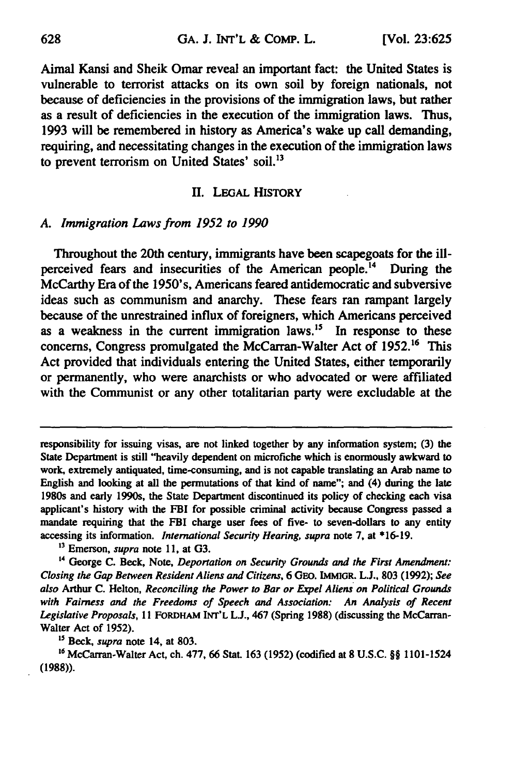Aimal Kansi and Sheik Omar reveal an important fact: the United States is vulnerable to terrorist attacks on its own soil **by** foreign nationals, not because of deficiencies in the provisions of the immigration laws, but rather as a result of deficiencies in the execution of the immigration laws. Thus, **1993** will be remembered in history as America's wake up call demanding, requiring, and necessitating changes in the execution of the immigration laws to prevent terrorism on United States' soil.<sup>13</sup>

#### *II.* LEGAL HISTORY

### *A. Immigration Laws from 1952 to 1990*

Throughout the 20th century, immigrants have been scapegoats for the illperceived fears and insecurities of the American people.<sup>14</sup> During the McCarthy Era of the 1950's, Americans feared antidemocratic and subversive ideas such as communism and anarchy. These fears ran rampant largely because of the unrestrained influx of foreigners, which Americans perceived as a weakness in the current immigration laws.<sup>15</sup> In response to these concerns, Congress promulgated the McCarran-Walter Act of 1952.<sup>16</sup> This Act provided that individuals entering the United States, either temporarily or permanently, who were anarchists or who advocated or were affiliated with the Communist or any other totalitarian party were excludable at the

*"Beck, supra* note 14, at **803.**

16 McCarran-Walter Act, ch. 477, 66 Stat. 163 (1952) (codified at 8 U.S.C. §§ 1101-1524 **(1988)).**

responsibility for issuing visas, are not linked together **by** any information system; **(3)** the State Department is still "heavily dependent on microfiche which is enormously awkward to work, extremely antiquated, time-consuming, and is not capable translating an Arab name to English and looking at all the permutations of that kind of name"; and (4) during the late 1980s and early 1990s, the State Department discontinued its policy of checking each visa applicant's history with the FBI for possible criminal activity because Congress passed a mandate requiring that the FBI charge user fees of five- to seven-dollars to any entity accessing its information. *International Security Hearing, supra* note **7,** at **\*16-19.**

**<sup>13</sup>**Emerson, *supra* note **11,** at **G3.**

**<sup>&#</sup>x27;4** George **C.** Beck, Note, *Deportation on Security Grounds and the First Amendment: Closing the Gap* Between *Resident Aliens and Citizens,* **6 GEo. IMMIGR. L., 803 (1992);** *See* also Arthur **C.** Helton, *Reconciling the Power to Bar* or *Expel Aliens on Political Grounds with Fairness and the Freedoms of Speech and Association: An Analysis of Recent Legislative Proposals,* **11 FORDHAM INT'L L.J.,** 467 (Spring **1988)** (discussing the McCarran-Walter Act of **1952).**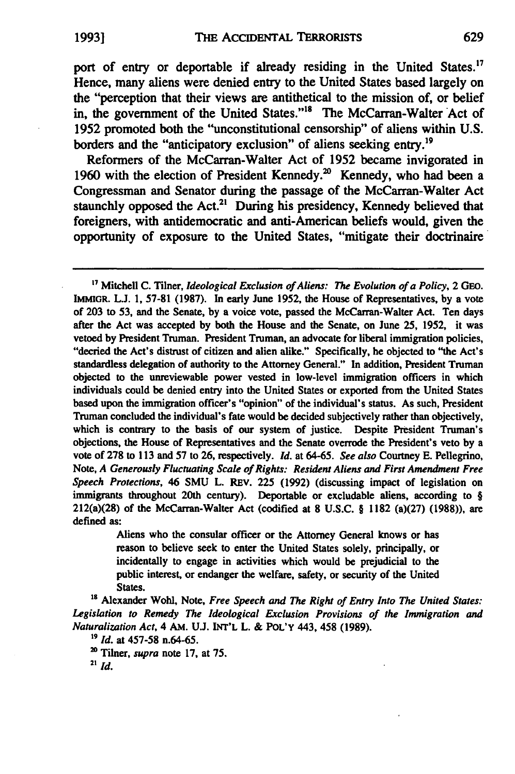port of entry or deportable if already residing in the United States.<sup>17</sup> Hence, many aliens were denied entry to the United States based largely on the "perception that their views are antithetical to the mission of, or belief in, the government of the United States."<sup>18</sup> The McCarran-Walter Act of **1952** promoted both the "unconstitutional censorship" of aliens within U.S. borders and the "anticipatory exclusion" of aliens seeking entry.<sup>19</sup>

Reformers of the McCarran-Walter Act of 1952 became invigorated in 1960 with the election of President Kennedy.<sup>20</sup> Kennedy, who had been a Congressman and Senator during the passage of the McCarran-Walter Act staunchly opposed the Act.<sup>21</sup> During his presidency, Kennedy believed that foreigners, with antidemocratic and anti-American beliefs would, given the opportunity of exposure to the United States, "mitigate their doctrinaire

**"7** Mitchell C. Tilner, *Ideological Exclusion of Aliens: The Evolution of a Policy,* 2 *GEO.* **IMMIGR. L.J. 1, 57-81 (1987).** In early June **1952,** the House of Representatives, **by** a vote of **203** to **53,** and the Senate, **by** a voice vote, passed the McCarran-Walter Act. Ten days after the Act was accepted by both the House and the Senate, on June **25, 1952,** it was vetoed **by** President Truman. President Truman, an advocate for liberal immigration policies, "decried the Act's distrust of citizen and alien alike." Specifically, he objected to "the Act's standardless delegation of authority to the Attorney General." In addition, President Truman objected to the unreviewable power vested in low-level immigration officers in which individuals could be denied entry into the United States or exported from the United States based upon the immigration officer's "opinion" of the individual's status. As such, President Truman concluded the individual's fate would be decided subjectively rather than objectively, which is contrary to the basis of our system of justice. Despite President Truman's objections, the House of Representatives and the Senate overrode the President's veto by a vote of **278 to 113** and **57** to **26,** respectively. *Id.* at 64-65. *See also* Courtney **E.** Pellegrino, Note, *A Generously Fluctuating Scale of Rights: Resident Aliens and First Amendment Free Speech Protections,* 46 **SMU** L. REV. **225 (1992)** (discussing impact of legislation on immigrants throughout 20th century). Deportable or excludable aliens, according to § 212(a)(28) of the McCarran-Walter Act (codified at **8 U.S.C.** § **1182** (a)(27) **(1988)),** are defined as:

> Aliens who the consular officer or the Attorney General knows or has reason to believe seek to enter the United States solely, principally, or incidentally to engage in activities which would be prejudicial to the public interest, or endanger the welfare, safety, or security of the United States.

<sup>18</sup> Alexander Wohl, Note, *Free Speech and The Right of Entry Into The United States: Legislation to Remedy The Ideological Exclusion Provisions of the Immigration and Naturalization Act,* 4 AM. **UJ. INT'L** L. **& POL'Y** 443, 458 **(1989).**

**'9** *Id.* at **457-58** n.64-65.

**"** Tilner, *supra* note **17,** at **75.**

**<sup>21</sup>***Id.*

629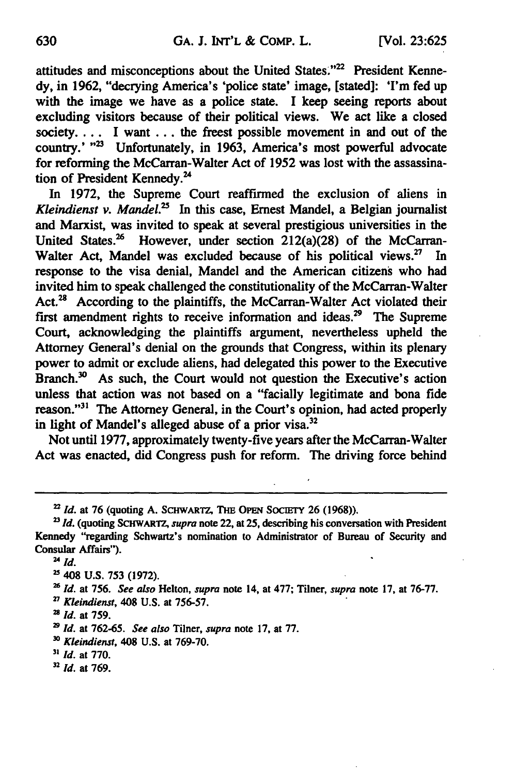attitudes and misconceptions about the United States."<sup>22</sup> President Kenne**dy,** in **1962,** "decrying America's 'police state' image, [stated]: 'I'm fed up with the image we have as a police state. **I** keep seeing reports about excluding visitors because of their political views. We act like a closed society.... **I** want **...** the freest possible movement in and out of the country.' "<sup>23</sup> Unfortunately, in 1963, America's most powerful advocate for reforming the McCarran-Walter Act of **1952** was lost with the assassination of President Kennedy.<sup>24</sup>

In **1972,** the Supreme Court reaffirmed the exclusion of aliens in *Kleindienst v. Mandel.*<sup>25</sup> In this case, Ernest Mandel, a Belgian journalist and Marxist, was invited to speak at several prestigious universities in the United States.<sup>26</sup> However, under section  $212(a)(28)$  of the McCarran-Walter Act, Mandel was excluded because of his political views.<sup>27</sup> In response to the visa denial, Mandel and the American citizens who had invited him to speak challenged the constitutionality of the McCarran-Walter **Act.2s** According to the plaintiffs, the McCarran-Walter Act violated their first amendment rights to receive information and ideas.<sup>29</sup> The Supreme Court, acknowledging the plaintiffs argument, nevertheless upheld the Attorney General's denial on the grounds that Congress, within its plenary power to admit or exclude aliens, had delegated this power to the Executive Branch.<sup>30</sup> As such, the Court would not question the Executive's action unless that action was not based on a "facially legitimate and bona fide reason."<sup>31</sup> The Attorney General, in the Court's opinion, had acted properly in light of Mandel's alleged abuse of a prior visa.<sup>32</sup>

Not until **1977,** approximately twenty-five years after the McCarran-Walter Act was enacted, did Congress push for reform. The driving force behind

<sup>2</sup>*Id.* at **76** (quoting **A. SCHWARTZ,** THE **OPEN SOCIETY 26 (1968)).**

**<sup>23</sup>***Id.* (quoting **SCHWARTZ,** *supra* note 22, at **25,** describing his conversation with President Kennedy "regarding Schwartz's nomination to Administrator of Bureau of Security and Consular Affairs").

<sup>4</sup>*Id.*

**<sup>25</sup>**408 **U.S. 753 (1972).**

*<sup>&#</sup>x27; Id.* at **756.** *See also* Helton, *supra* note 14, at **477;** Tilner, *supra* note **17,** at **76-77.**

*<sup>27</sup> Kleindienst,* 408 **U.S.** at **756-57.**

<sup>2</sup>*Id.* at **759.**

**<sup>2</sup>***Id.* at **762-65.** *See also* Tiiner, *supra* note **17,** at **77.**

*<sup>30</sup> Kleindienst,* 408 **U.S.** at **769-70.**

*<sup>31</sup> Id.* at **770.**

<sup>2</sup> *Id.* at **769.**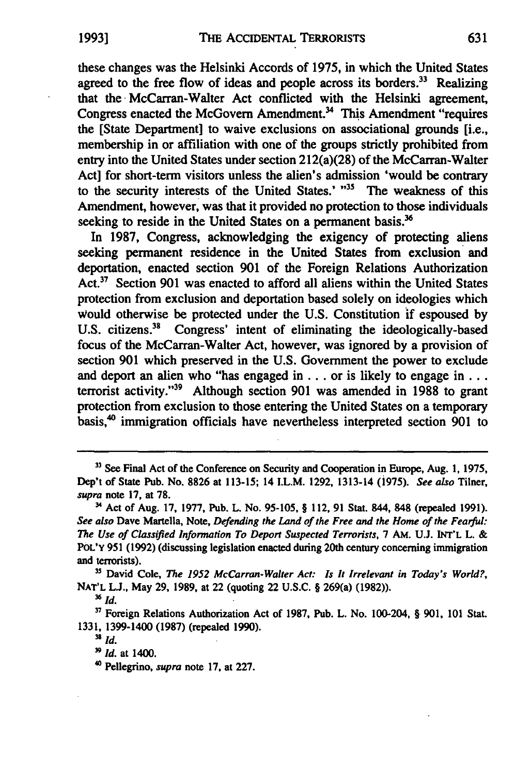these changes was the Helsinki Accords of 1975, in which the United States agreed to the free flow of ideas and people across its borders. $33$  Realizing that the McCarran-Walter Act conflicted with the Helsinki agreement, Congress enacted the McGovern Amendment.<sup>34</sup> This Amendment "requires" the [State Department] to waive exclusions on associational grounds [i.e., membership in or affiliation with one of the groups strictly prohibited from entry into the United States under section 212(a)(28) of the McCarran-Walter Act] for short-term visitors unless the alien's admission 'would be contrary to the security interests of the United States.' "<sup>35</sup> The weakness of this Amendment, however, was that it provided no protection to those individuals seeking to reside in the United States on a permanent basis.<sup>36</sup>

In **1987,** Congress, acknowledging the exigency of protecting aliens seeking permanent residence in the United States from exclusion and deportation, enacted section **901** of the Foreign Relations Authorization Act.37 Section **901** was enacted to afford all aliens within the United States protection from exclusion and deportation based solely on ideologies which Would otherwise be protected under the **U.S.** Constitution **if** espoused **by** U.S. citizens.<sup>38</sup> Congress' intent of eliminating the ideologically-based focus of the McCarran-Walter Act, however, was ignored **by** a provision of section **901** which preserved in the **U.S.** Government the power to exclude and deport an alien who "has engaged in **. . .** or is likely to engage in **...** terrorist activity. '39 Although section **901** was amended in **1988** to grant protection from exclusion to those entering the United States on a temporary basis,<sup>40</sup> immigration officials have nevertheless interpreted section 901 to

**<sup>33</sup>** See Final Act of the Conference on Security and Cooperation in Europe, Aug. **1, 1975,** Dep't of State Pub. No. **8826** at **113-15;** 14 I.L.M. **1292,** 1313-14 (1975). **See also** Tilner, *supra* note **17,** at **78.**

**<sup>1</sup>** Act of Aug. **17, 1977,** Pub. L. No. **95-105,** § 112, **91** Stat. 844, **848** (repealed **1991).** *See also* Dave Martella, Note, *Defending the Land of the Free and the Home of the Fearful: The Use of Classified Information To Deport Suspected Terrorists,* 7 AM. **UJ. INT'L** L. **&** POL'Y 951 (1992) (discussing legislation enacted during 20th century concerning immigration and terrorists).

**<sup>&</sup>quot;** David Cole, *The 1952 McCarran-Walter Act: Is It Irrelevant in Today's World?,* **NAT'L U.,** May **29, 1989,** at 22 (quoting 22 **U.S.C.** § 269(a) **(1982)).**

**<sup>3</sup>** *Id.*

**<sup>37</sup>** Foreign Relations Authorization Act of **1987,** Pub. L. No. 100-204, § **901, 101** Stat. **1331,** 1399-1400 **(1987)** (repealed **1990).**

 $38$  *Id.* 

**<sup>3</sup> Id.** at 1400.

**<sup>&#</sup>x27;** Pellegrino, *supra* note **17,** at **227.**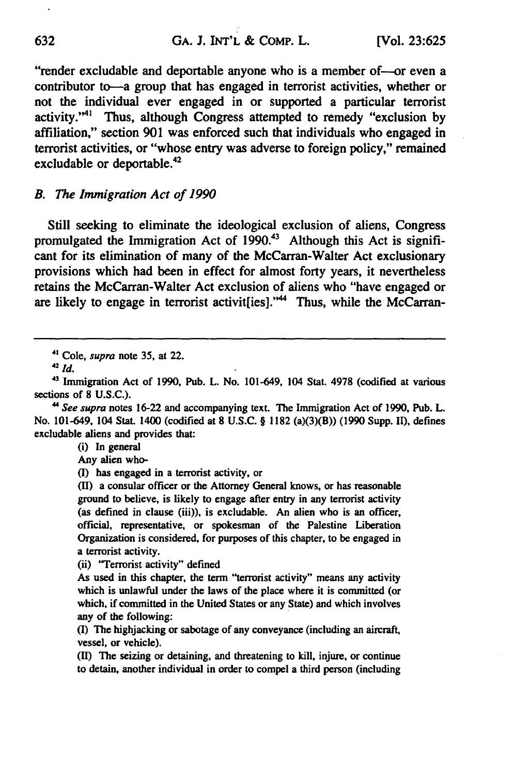"render excludable and deportable anyone who is a member of--or even a contributor to-a group that has engaged in terrorist activities, whether or not the individual ever engaged in or supported a particular terrorist activity."<sup>41</sup> Thus, although Congress attempted to remedy "exclusion by affiliation," section 901 was enforced such that individuals who engaged in terrorist activities, or "whose entry was adverse to foreign policy," remained excludable or deportable.42

#### *B. The Immigration Act of 1990*

Still seeking to eliminate the ideological exclusion of aliens, Congress promulgated the Immigration Act of 1990.<sup>43</sup> Although this Act is significant for its elimination of many of the McCarran-Walter Act exclusionary provisions which had been in effect for almost forty years, it nevertheless retains the McCarran-Walter Act exclusion of aliens who "have engaged or are likely to engage in terrorist activit[ies]."<sup>44</sup> Thus, while the McCarran-

(i) In general

Any alien who-

**(I)** has engaged in a terrorist activity, or

**(11)** a consular officer or the Attorney General knows, or has reasonable ground to believe, is likely to engage after entry in any terrorist activity (as defined in clause (iii)), is excludable. An alien who is an officer, official, representative, or spokesman of the Palestine Liberation Organization is considered, for purposes of this chapter, to be engaged in a terrorist activity.

(ii) "Terrorist activity" defined

**<sup>41</sup>** Cole, *supra* note 35, at 22.

**<sup>42</sup>** *Id.*

<sup>41</sup> Immigration Act of 1990, Pub. L. No. 101-649, 104 Stat. 4978 (codified at various sections of **8 U.S.C.).**

*<sup>&</sup>quot; See supra* notes 16-22 and accompanying text. The Immigration Act of 1990, Pub. L. No. 101-649, 104 Stat. 1400 (codified at **8** U.S.C. § 1182 (a)(3)(B)) (1990 Supp. II), defines excludable aliens and provides that:

As used in this chapter, the term "terrorist activity" means any activity which is unlawful under the laws of the place where it is committed (or which, if committed in the United States or any State) and which involves any of the following:

<sup>(</sup>I) The highjacking or sabotage of any conveyance (including an aircraft, vessel, or vehicle).

**<sup>(</sup>I1)** The seizing or detaining, and threatening to kill, injure, or continue to detain, another individual in order to compel a third person (including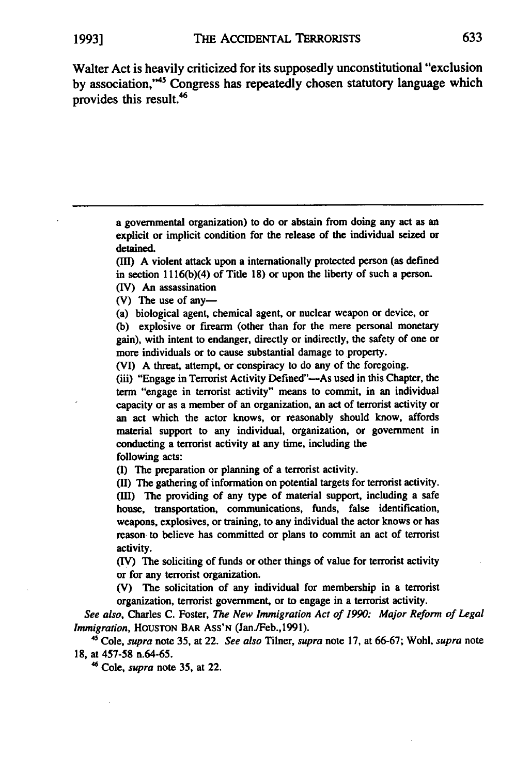Walter Act is heavily criticized for its supposedly unconstitutional "exclusion by association,"<sup>45</sup> Congress has repeatedly chosen statutory language which provides this result.<sup>46</sup>

> a governmental organization) to do or abstain from doing any act as an explicit or implicit condition for the release of the individual seized or detained.

> **(11)** A violent attack upon a internationally protected person (as defined in section **11** 16(b)(4) of Title **18)** or upon the liberty of such a person. (IV) An assassination

(V) The use of any-

(a) biological agent, chemical agent, or nuclear weapon or device, or **(b)** explosive or firearm (other than for the mere personal monetary gain), with intent to endanger, directly or indirectly, the safety of one or more individuals or to cause substantial damage to property.

(VI) **A** threat, attempt, or conspiracy to do any of the foregoing.

(iii) "Engage in Terrorist Activity Defined"—As used in this Chapter, the term "engage in terrorist activity" means to commit, in an individual capacity or as a member of an organization, an act of terrorist activity or an act which the actor knows, or reasonably should know, affords material support to any individual, organization, or government in conducting a terrorist activity at any time, including the following acts:

**(I)** The preparation or planning of a terrorist activity.

**(II)** The gathering of information on potential targets for terrorist activity. **(III)** The providing of any type of material support, including a safe house, transportation, communications, funds, false identification, weapons, explosives, or training, to any individual the actor knows or has reason to believe has committed or plans to commit an act of terrorist activity.

(IV) The soliciting of funds or other things of value for terrorist activity or for any terrorist organization.

(V) The solicitation of any individual for membership in a terrorist organization, terrorist government, or to engage in a terrorist activity.

*See also,* Charles **C.** Foster, *The New Immigration* **Act** *of 1990: Major Reform of Legal Immigration,* HOUSTON BAR Ass'N (JanJFeb.,1991).

45 Cole, *supra* note **35,** at 22. *See also* Tilner, *supra* note **17,** at **66-67;** Wohl, *supra* note **18,** at **457-58** n.64-65.

**46** Cole, *supra* note **35,** at 22.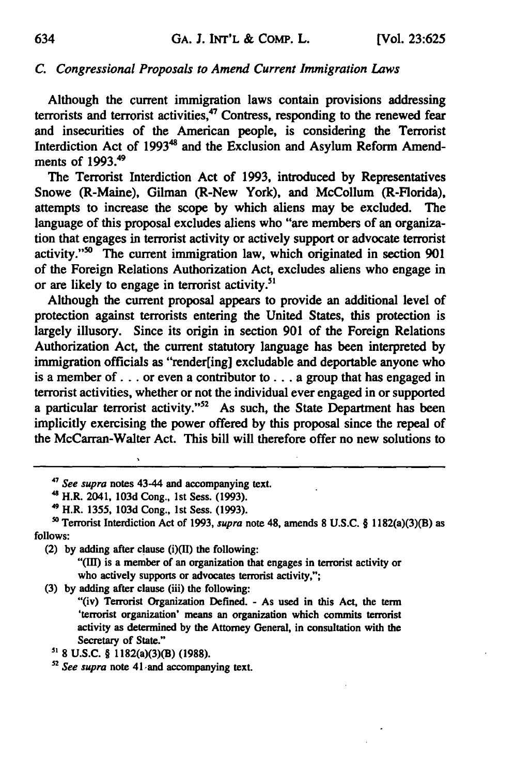#### *C. Congressional Proposals to Amend Current Immigration Laws*

Although the current immigration laws contain provisions addressing terrorists and terrorist activities,<sup>47</sup> Contress, responding to the renewed fear and insecurities of the American people, is considering the Terrorist Interdiction Act of 1993<sup>48</sup> and the Exclusion and Asylum Reform Amendments of **1993."9**

The Terrorist Interdiction Act of **1993,** introduced **by** Representatives Snowe (R-Maine), Gilman (R-New York), and McCollum (R-Florida), attempts to increase the scope **by** which aliens may be excluded. The language of this proposal excludes aliens who "are members of an organization that engages in terrorist activity or actively support or advocate terrorist activity."<sup>50</sup> The current immigration law, which originated in section 901 of the Foreign Relations Authorization Act, excludes aliens who engage in or are likely to engage in terrorist activity.<sup>51</sup>

Although the current proposal appears to provide an additional level of protection against terrorists entering the United States, this protection is largely illusory. Since its origin in section **901** of the Foreign Relations Authorization Act, the current statutory language has been interpreted **by** immigration officials as "render[ing] excludable and deportable anyone who is a member **of. . .** or even a contributor to **...** a group that has engaged in terrorist activities, whether or not the individual ever engaged in or supported a particular terrorist activity."<sup>52</sup> As such, the State Department has been implicitly exercising the power offered **by** this proposal since the repeal of the McCarran-Walter Act. This bill will therefore offer no new solutions to

**"(I1)** is a member of an organization that engages in terrorist activity or who actively supports or advocates terrorist activity,";

**(3) by** adding after clause (iii) the following:

"(iv) Terrorist Organization Defined. **-** As used in this Act, the term 'terrorist organization' means an organization which commits terrorist activity as determined **by** the Attorney General, in consultation with the Secretary of State."

**5' 8 U.S.C.** § 1182(a)(3)(B) **(1988).**

*52 See supra* note 41 -and accompanying text.

**<sup>&#</sup>x27;** *See supra* notes 43-44 and accompanying text.

<sup>4&#</sup>x27; H.R. 2041, **103d** Cong., **1st** Sess. **(1993).**

**<sup>49</sup>**H.R. **1355, 103d** Cong., **1st** Sess. **(1993).**

**so** Terrorist Interdiction Act of **1993,** *supra* note 48, amends **8 U.S.C.** § 1182(a)(3)(B) as **follows:**

<sup>(2)</sup> **by** adding after clause (i)(1I) the following: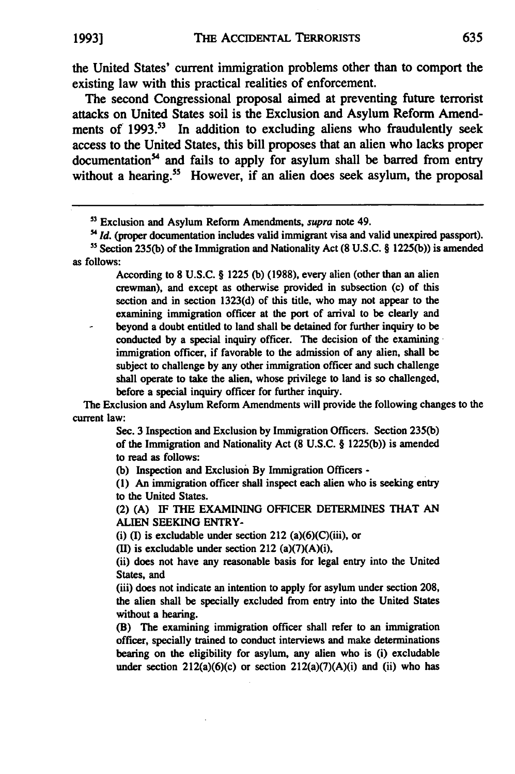the United States' current immigration problems other than to comport the existing law with this practical realities of enforcement.

The second Congressional proposal aimed at preventing future terrorist attacks on United States soil is the Exclusion and Asylum Reform Amendments of **1993.<sup>s</sup> "** In addition to excluding aliens who fraudulently seek access to the United States, this bill proposes that an alien who lacks proper documentation<sup>54</sup> and fails to apply for asylum shall be barred from entry without a hearing.<sup>55</sup> However, if an alien does seek asylum, the proposal

According to **8 U.S.C.** § **1225 (b) (1988),** every alien (other than an alien crewman), and except as otherwise provided in subsection (c) of this section and in section **1323(d)** of this title, who may not appear to the examining immigration officer at the port of arrival to be clearly and **-** beyond a doubt entitled to land shall be detained for further inquiry to be conducted **by** a special inquiry officer. The decision of the examining immigration officer, if favorable to the admission of any alien, shall be subject to challenge **by** any other immigration officer and such challenge shall operate to take the alien, whose privilege to land is so challenged, before a special inquiry officer for further inquiry.

The Exclusion and Asylum Reform Amendments will provide the following changes to the current law:

> Sec. **3** Inspection and Exclusion **by** Immigration Officers. Section **235(b)** of the Immigration and Nationality Act **(8 U.S.C.** § **1225(b))** is amended to read as follows:

**(b)** Inspection and Exclusion **By** Immigration Officers **-**

**(1)** An immigration officer shall inspect each alien who is seeking entry to the United States.

(2) **(A) IF THE EXAMINING** OFFICER DETERMINES THAT **AN ALIEN SEEKING** ENTRY-

(i) (I) is excludable under section 212 (a) $(6)(C)(iii)$ , or

**(11)** is excludable under section 212 (a)(7)(A)(i),

(ii) does not have any reasonable basis for legal entry into the United States, and

(iii) does not indicate an intention to apply for asylum under section **208,** the alien shall be specially excluded from entry into the United States without a hearing.

(B) The examining immigration officer shall refer to an immigration officer, specially trained to conduct interviews and make determinations bearing on the eligibility for asylum, any alien who is (i) excludable under section  $212(a)(6)(c)$  or section  $212(a)(7)(A)(i)$  and (ii) who has

**s3** Exclusion and Asylum Reform Amendments, supra note 49.

<sup>&</sup>lt;sup>54</sup> *Id.* (proper documentation includes valid immigrant visa and valid unexpired passport). ' <sup>5</sup> Section **235(b)** of the Immigration and Nationality Act **(8 U.S.C.** § **1225(b))** is amended as follows: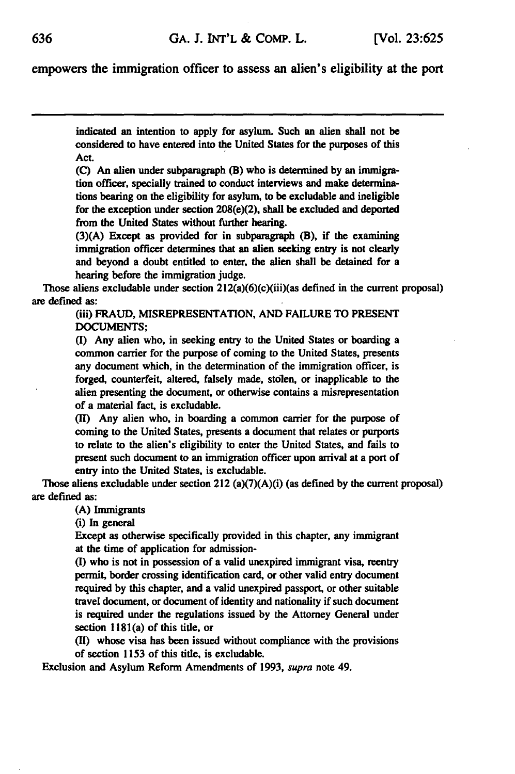empowers the immigration officer to assess an alien's eligibility at the port

indicated an intention to apply for asylum. Such an alien shall not be considered to have entered into the United States for the purposes of this Act.

**(C)** An alien under subparagraph (B) who is determined **by** an immigration officer, specially trained to conduct interviews and make determinations bearing on the eligibility for asylum, to be excludable and ineligible for the exception under section 208(e)(2), shall be excluded and deported from the United States without further hearing.

**(3)(A)** Except as provided for in subparagraph (B), if the **examining** immigration officer determines that an alien seeking entry is not clearly and beyond a doubt entitled to enter, the alien shall be detained for a hearing before the immigration judge.

Those aliens excludable under section 212(a)(6)(c)(iii)(as defined in the current proposal) are defined as:

> (iii) **FRAUD, MISREPRESENTATION, AND FAILURE** TO **PRESENT DOCUMENTS;**

> **(I)** Any alien who, in seeking entry to the United States or boarding a common carrier for the purpose of coming to the United States, presents any document which, in the determination of the immigration officer, is forged, counterfeit, altered, falsely made, stolen, or inapplicable **to** the alien presenting the document, or otherwise contains a misrepresentation of a material fact, is excludable.

> **(1I)** Any alien who, in boarding a common carrier for the purpose of coming to the United States, presents **a** document that relates or purports **to** relate to the alien's eligibility to enter the United States, and fails to present such document to an immigration officer upon arrival at a port of entry into the United States, is excludable.

Those aliens excludable under section 212 (a)(7)(A)(i) (as defined **by** the current proposal) are defined as:

**(A)** Immigrants

(i) In general

Except as otherwise specifically provided in this chapter, any immigrant at the time of application for admission-

**(I)** who is not in possession of a valid unexpired immigrant visa, reentry permit, border crossing identification card, or other valid entry document required **by** this chapter, and a valid unexpired passport, or other suitable travel document, or document of identity and nationality if such document is required under the regulations issued **by** the Attorney General under section 1181(a) of this title, or

**(I)** whose visa has been issued without compliance with the provisions of section **1153** of this title, is excludable.

Exclusion and Asylum Reform Amendments of **1993,** *supra* note 49.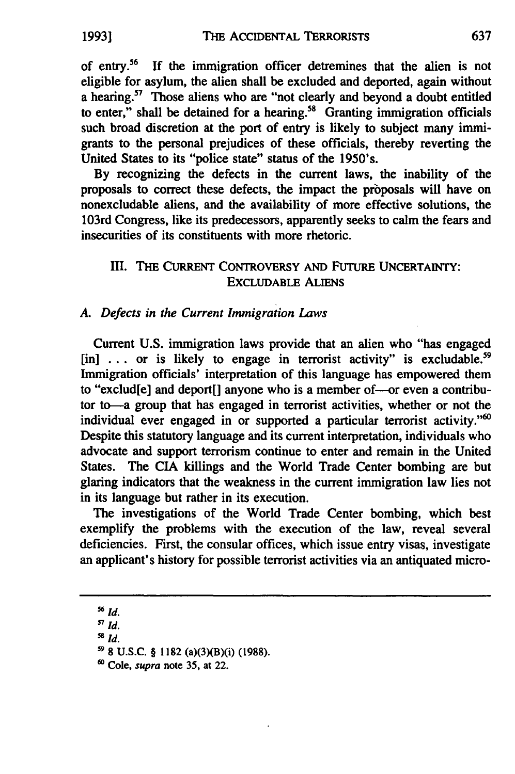of entry.<sup>56</sup> If the immigration officer detremines that the alien is not eligible for asylum, the alien shall be excluded and deported, again without a hearing.<sup>57</sup> Those aliens who are "not clearly and beyond a doubt entitled to enter," shall be detained for a hearing.<sup>58</sup> Granting immigration officials such broad discretion at the port of entry is likely to subject many **immi**grants to the personal prejudices of these officials, thereby reverting the United States to its "police state" status of the 1950's.

**By** recognizing the defects in the current laws, the inability of the proposals to correct these defects, the impact the proposals will have on nonexcludable aliens, and the availability of more effective solutions, the 103rd Congress, like its predecessors, apparently seeks to calm the fears and insecurities of its constituents with more rhetoric.

# **III. THE CURRENT CONTROVERSY AND FUTURE UNCERTAINTY: EXCLUDABLE** ALIENS

## *A. Defects in the Current Immigration Laws*

Current **U.S.** immigration laws provide that an alien who "has engaged [in] ... or is likely to engage in terrorist activity" is excludable.<sup>59</sup> Immigration officials' interpretation of this language has empowered them to "exclud[e] and deport[] anyone who is a member of-or even a contributor to-a group that has engaged in terrorist activities, whether or not the individual ever engaged in or supported a particular terrorist activity."<sup>60</sup> Despite this statutory language and its current interpretation, individuals who advocate and support terrorism continue to enter and remain in the United States. The **CIA** killings and the World Trade Center bombing are but glaring indicators that the weakness in the current immigration law lies not in its language but rather in its execution.

The investigations of the World Trade Center bombing, which best exemplify the problems with the execution of the law, reveal several deficiencies. First, the consular offices, which issue entry visas, investigate an applicant's history for possible terrorist activities via an antiquated micro-

**<sup>56</sup>** *id.*

**<sup>5</sup>** *id.*

**<sup>58</sup>** *Id.*

**<sup>&</sup>quot; 8 U.S.C.** § **1182** (a)(3)(B)(i) **(1988).**

**<sup>60</sup>** Cole, supra note **35,** at 22.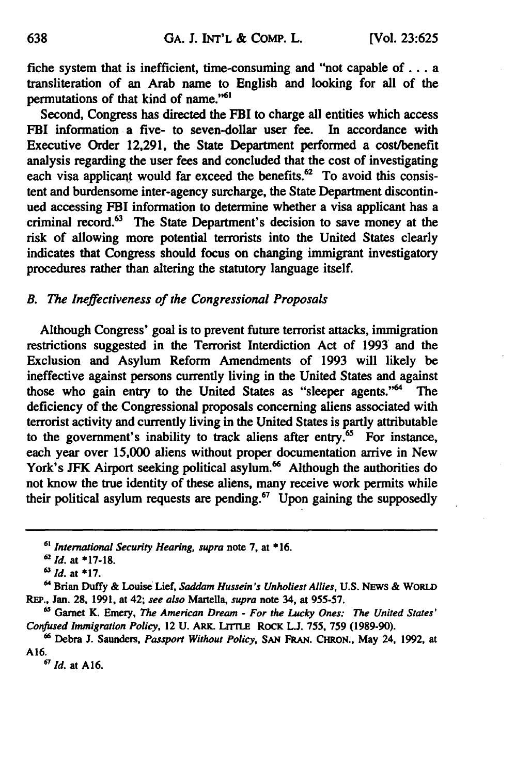fiche system that is inefficient, time-consuming and "not capable **of...** a transliteration of an Arab name to English and looking for all of the permutations of that kind of name."6'

Second, Congress has directed the FBI to charge all entities which access FBI information a five- to seven-dollar user fee. In accordance with Executive Order **12,291,** the State Department performed a cost/benefit analysis regarding the user fees and concluded that the cost of investigating each visa applicant would far exceed the benefits. $62$  To avoid this consistent and burdensome inter-agency surcharge, the State Department discontinued accessing FBI information to determine whether a visa applicant has a criminal record.<sup>63</sup> The State Department's decision to save money at the risk of allowing more potential terrorists into the United States clearly indicates that Congress should focus on changing immigrant investigatory procedures rather than altering the statutory language itself.

# *B. The Ineffectiveness of the Congressional Proposals*

Although Congress' goal is to prevent future terrorist attacks, immigration restrictions suggested in the Terrorist Interdiction Act of 1993 and the Exclusion and Asylum Reform Amendments of 1993 will likely be ineffective against persons currently living in the United States and against those who gain entry to the United States as "sleeper agents."<sup>64</sup> The deficiency of the Congressional proposals concerning aliens associated with terrorist activity and currently living in the United States is partly attributable to the government's inability to track aliens after entry. $65$  For instance, each year over 15,000 aliens without proper documentation arrive in New York's JFK Airport seeking political asylum.<sup>66</sup> Although the authorities do not know the true identity of these aliens, many receive work permits while their political asylum requests are pending.<sup>67</sup> Upon gaining the supposedly

*67 Id.* at **A16.**

**<sup>61</sup>** *International Security Hearing, supra* note **7,** at **\* 16.**

**<sup>62</sup>** *Id.* at **\*17-18.**

*<sup>6&#</sup>x27; Id.* at **"17.**

<sup>64</sup> Brian Duffy **&** Louise Lief, *Saddam Hussein's Unholiest Allies,* **U.S.** NEWS & **WORLD REP.,** Jan. **28, 1991,** at 42; *see also* Martella, *supra* note 34, at **955-57.**

**<sup>6</sup>** Garnet K. Emery, *The American Dream* **-** *For the Lucky Ones: The United States' Confused Immigration Policy,* 12 **U.** ARK. LrrrLE **RoCK L.J. 755, 759 (1989-90).**

**<sup>66</sup>**Debra **J.** Saunders, *Passport Without Policy,* **SAN FRAN.** CHRON., May 24, **1992,** at **A16.**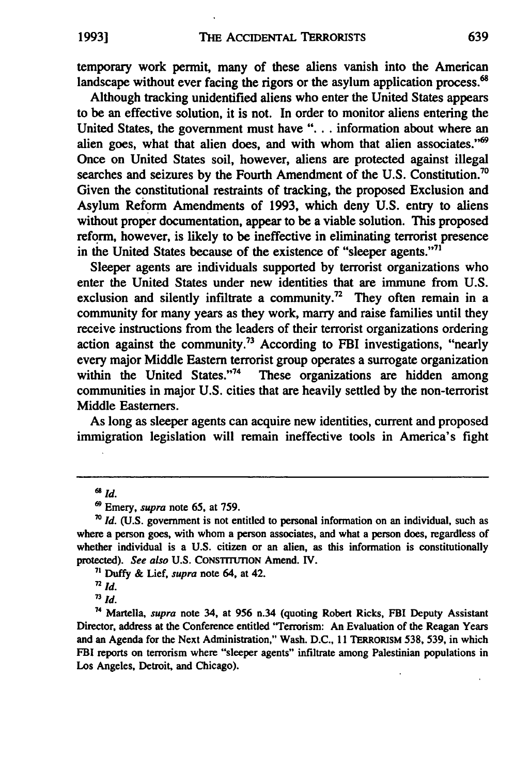temporary work permit, many of these aliens vanish into the American landscape without ever facing the rigors or the asylum application process.<sup>68</sup>

Although tracking unidentified aliens who enter the United States appears to be an effective solution, it is not. In order to monitor aliens entering the United States, the government must have **"...** . information about where an alien goes, what that alien does, and with whom that alien associates."<sup>69</sup> Once on United States soil, however, aliens are protected against illegal searches and seizures by the Fourth Amendment of the U.S. Constitution.<sup>70</sup> Given the constitutional restraints of tracking, the proposed Exclusion and Asylum Reform Amendments of **1993,** which deny U.S. entry to aliens without proper documentation, appear to be a viable solution. This proposed reform, however, is likely to be ineffective in eliminating terrorist presence in the United States because of the existence of "sleeper agents."<sup>71</sup>

Sleeper agents are individuals supported by terrorist organizations who enter the United States under new identities that are immune from U.S. exclusion and silently infiltrate a community.<sup>72</sup> They often remain in a community for many years as they work, marry and raise families until they receive instructions from the leaders of their terrorist organizations ordering action against the community.<sup>73</sup> According to FBI investigations, "nearly every major Middle Eastern terrorist group operates a surrogate organization<br>within the United States."<sup>74</sup> These organizations are hidden among These organizations are hidden among communities in major U.S. cities that are heavily settled by the non-terrorist Middle Easterners.

As long as sleeper agents can acquire new identities, current and proposed immigration legislation will remain ineffective tools in America's fight

**<sup>6</sup>** *Id.*

**I9** Emery, *supra* note 65, at 759.

**<sup>7</sup>o** *Id.* (U.S. government is not entitled to personal information on an individual, such as where a person goes, with whom a person associates, and what a person does, regardless of whether individual is a U.S. citizen or an alien, as this information is constitutionally protected). *See* **also U.S.** CONSTITUTION Amend. IV.

**<sup>&#</sup>x27;** Duffy & Lief, *supra* note 64, at 42.

 $\overline{a}$  *Id.* 

*<sup>&</sup>quot; Id.*

<sup>74</sup> Martella, **supra** note 34, at **956** n.34 (quoting Robert Ricks, FBI Deputy Assistant Director, address at the Conference entitled "Terrorism: An Evaluation of the Reagan Years and an Agenda for the Next Administration," Wash. **D.C., I 1** TERRORISM **538, 539,** in which FBI reports on terrorism where "sleeper agents" infiltrate among Palestinian populations in Los Angeles, Detroit, and Chicago).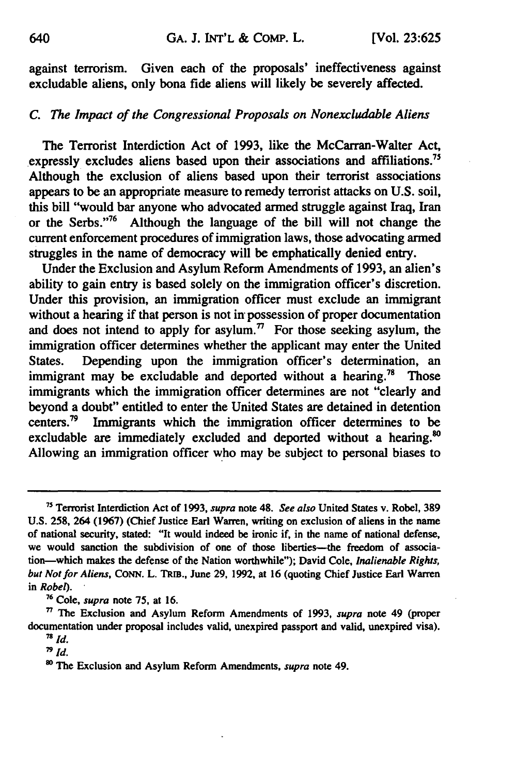against terrorism. Given each of the proposals' ineffectiveness against excludable aliens, only bona fide aliens will likely be severely affected.

## *C. The Impact of the Congressional Proposals on Nonexcludable Aliens*

The Terrorist Interdiction Act of **1993,** like the McCarran-Walter Act, expressly excludes aliens based upon their associations and affiliations." Although the exclusion of aliens based upon their terrorist associations appears to be an appropriate measure to remedy terrorist attacks on **U.S.** soil, this bill "would bar anyone who advocated armed struggle against Iraq, Iran or the Serbs."<sup>76</sup> Although the language of the bill will not change the current enforcement procedures of immigration laws, those advocating armed struggles in the name of democracy will be emphatically denied entry.

Under the Exclusion and Asylum Reform Amendments of **1993,** an alien's ability to gain entry is based solely on the immigration officer's discretion. Under this provision, an immigration officer must exclude an immigrant without a hearing if that person is not in possession of proper documentation and does not intend to apply for asylum.<sup>77</sup> For those seeking asylum, the immigration officer determines whether the applicant may enter the United States. Depending upon the immigration officer's determination, an immigrant may be excludable and deported without a hearing.<sup>78</sup> Those immigrants which the immigration officer determines are not "clearly and beyond a doubt" entitled to enter the United States are detained in detention centers.79 Immigrants which the immigration officer determines to be excludable are immediately excluded and deported without a hearing.<sup>80</sup> Allowing an immigration officer who may be subject to personal biases to

**<sup>76</sup>**Cole, *supra* note **75,** at **16.**

**<sup>7</sup>** Terrorist Interdiction Act of **1993,** *supra* note 48. *See also* United States v. Robel, **389 U.S. 258,** 264 **(1967)** (Chief Justice Earl Warren, writing on exclusion of aliens in the name of national security, stated: "It would indeed be ironic if, in the name of national defense, we would sanction the subdivision of one of those liberties---the freedom of association-which makes the defense of the Nation worthwhile"); David Cole, *Inalienable Rights, but Not for Aliens,* **CoNN.** L. **TRIB.,** June **29, 1992,** at **16** (quoting Chief Justice Earl Warren *in Robel).*

**<sup>&</sup>quot; The** Exclusion and Asylum Reform Amendments of **1993,** *supra* note 49 (proper documentation under proposal includes valid, unexpired passport and valid, unexpired visa).  $\frac{78}{p}$  *id.*  $\frac{1}{4}$ 

**<sup>1</sup>o** The Exclusion and Asylum Reform Amendments, *supra* note 49.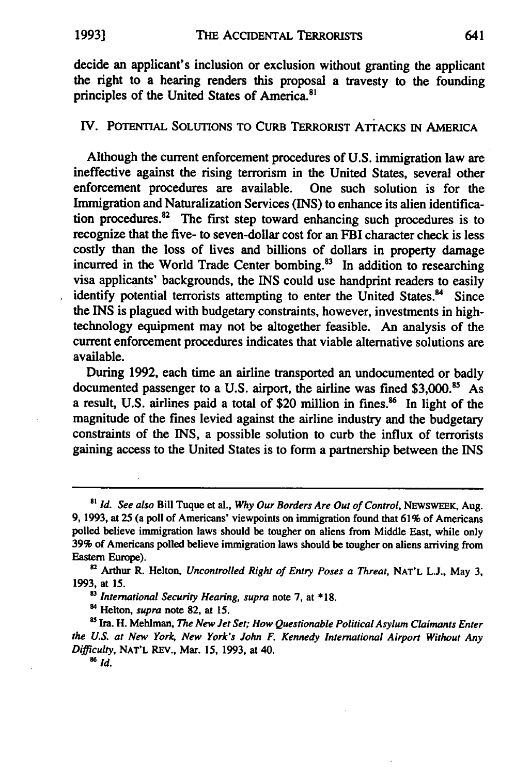decide an applicant's inclusion or exclusion without granting the applicant the right to a hearing renders this proposal a travesty to the founding principles of the United States of America.<sup>81</sup>

## IV. **POTENTIAL SOLUTIONS** TO CURB TERRORIST ATTACKS **IN AMERICA**

Although the current enforcement procedures of **U.S.** immigration law are ineffective against the rising terrorism in the United States, several other enforcement procedures are available. One such solution is for the Immigration and Naturalization Services **(INS)** to enhance its alien identification procedures. $82$  The first step toward enhancing such procedures is to recognize that the five- to seven-dollar cost for an FBI character check is less costly than the loss of lives and billions of dollars in property damage incurred in the World Trade Center bombing.<sup>83</sup> In addition to researching visa applicants' backgrounds, the **INS** could use handprint readers to easily identify potential terrorists attempting to enter the United States.<sup>84</sup> Since the **INS** is plagued with budgetary constraints, however, investments in hightechnology equipment may not be altogether feasible. An analysis of the current enforcement procedures indicates that viable alternative solutions are available.

During **1992,** each time an airline transported an undocumented or badly documented passenger to a **U.S.** airport, the airline was fined **\$3,000.85** As a result, U.S. airlines paid a total of \$20 million in fines.<sup>86</sup> In light of the magnitude of the fines levied against the airline industry and the budgetary constraints of the INS, a possible solution to curb the influx of terrorists gaining access to the United States is to form a partnership between the **INS**

*'3* International Security Hearing, supra note **7,** at **\* 18.**

8 Helton, **supra** note **82,** at **15.**

<sup>85</sup> Ira. H. Mehlman, *The New Jet Set; How Questionable Political Asylum Claimants Enter* the *U.S.* at New **York,** New York's John F. Kennedy International Airport Without Any Difficulty, **NAT'L** REv., Mar. **15, 1993,** at 40.

**86Id.**

*<sup>8&#</sup>x27;* **Id.** See also Bill Tuque et al., **Why Our Borders** Are Out of Control, **NEWSWEEK,** Aug. **9, 1993,** at **25** (a poll of Americans' viewpoints on immigration found that **61%** of Americans polled believe immigration laws should be tougher on aliens from Middle East, while only **39%** of Americans polled believe immigration laws should be tougher on aliens arriving from Eastern Europe).

**<sup>82</sup>**Arthur R. Helton, Uncontrolled Right of Entry Poses a Threat, **NAT'L L.J.,** May **3, 1993,** at **15.**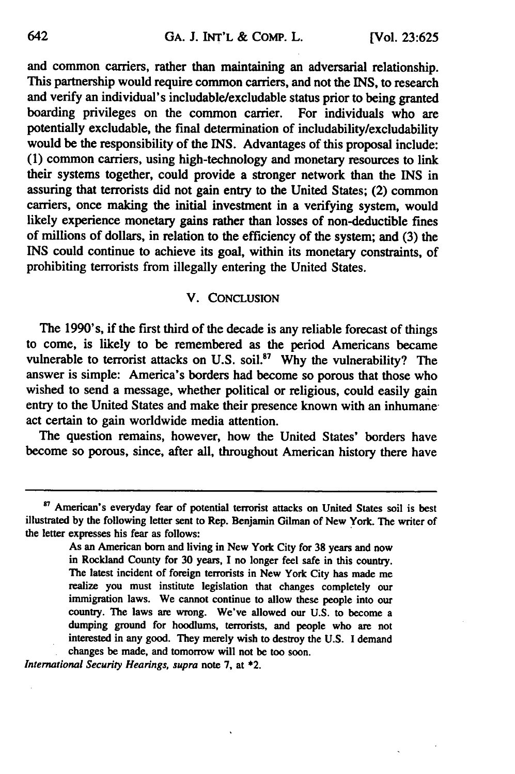and common cariers, rather than maintaining an adversarial relationship. This partnership would require common carriers, and not the INS, to research and verify an individual's includable/excludable status prior to being granted boarding privileges on the common carrier. For individuals who are potentially excludable, the final determination of includability/excludability would be the responsibility of the **INS.** Advantages of this proposal include: **(1)** common carriers, using high-technology and monetary resources to link their systems together, could provide a stronger network than the INS in assuring that terrorists did not gain entry to the United States; (2) common carriers, once making the initial investment in a verifying system, would likely experience monetary gains rather than losses of non-deductible fines of millions of dollars, in relation to the efficiency of the system; and **(3)** the **INS** could continue to achieve its goal, within its monetary constraints, of prohibiting terrorists from illegally entering the United States.

### V. **CONCLUSION**

The 1990's, if the first third of the decade is any reliable forecast of things to come, is likely to be remembered as the period Americans became vulnerable to terrorist attacks on U.S. soil.<sup>87</sup> Why the vulnerability? The answer is simple: America's borders had become so porous that those who wished to send a message, whether political or religious, could easily gain entry to the United States and make their presence known with an inhumaneact certain to gain worldwide media attention.

The question remains, however, how the United States' borders have become so porous, since, after all, throughout American history there have

*International Security Hearings, supra* note **7,** at \*2.

<sup>&</sup>lt;sup>87</sup> American's everyday fear of potential terrorist attacks on United States soil is best illustrated **by** the following letter sent to Rep. Benjamin Gilman of New York. The writer of the letter expresses his fear as follows:

As an American born and living in New York City for **38** years and now in Rockland County for **30** years, I no longer feel safe in this country. The latest incident of foreign terrorists in New York City has made me realize you must institute legislation that changes completely our immigration laws. We cannot continue to allow these people into our country. The laws are wrong. We've allowed our **U.S.** to become a dumping ground for hoodlums, terrorists, and people who are not interested in any good. They merely wish to destroy the **U.S.** I demand changes be made, and tomorrow will not be too soon.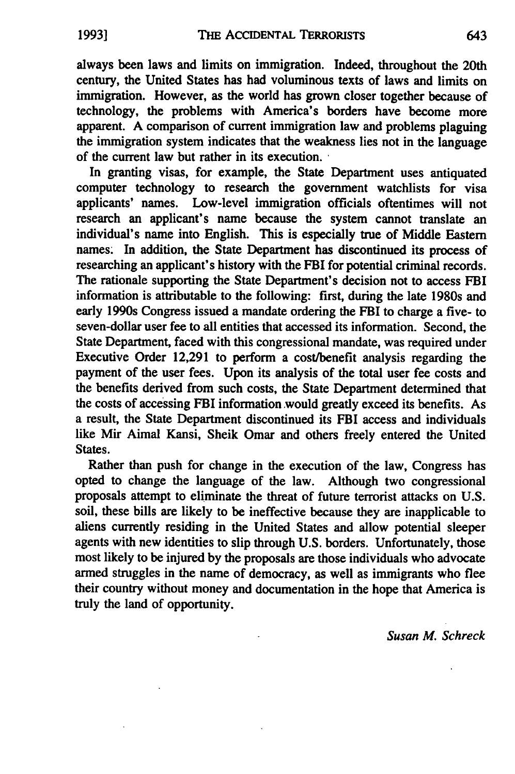always been laws and limits on immigration. Indeed, throughout the 20th century, the United States has had voluminous texts of laws and limits on immigration. However, as the world has grown closer together because of technology, the problems with America's borders have become more apparent. **A** comparison of current immigration law and problems plaguing the immigration system indicates that the weakness lies not in the language of the current law but rather in its execution.

In granting visas, for example, the State Department uses antiquated computer technology to research the government watchlists for visa applicants' names. Low-level immigration officials oftentimes will not research an applicant's name because the system cannot translate an individual's name into English. This is especially true of Middle Eastern names. In addition, the State Department has discontinued its process of researching an applicant's history with the FBI for potential criminal records. The rationale supporting the State Department's decision not to access FBI information is attributable to the following: first, during the late 1980s and early 1990s Congress issued a mandate ordering the FBI to charge a five- to seven-dollar user fee to all entities that accessed its information. Second, the State Department, faced with this congressional mandate, was required under Executive Order 12,291 to perform a cost/benefit analysis regarding the payment of the user fees. Upon its analysis of the total user fee costs and the benefits derived from such costs, the State Department determined that the costs of accessing FBI information would greatly exceed its benefits. As a result, the State Department discontinued its FBI access and individuals like Mir Aimal Kansi, Sheik Omar and others freely entered the United States.

Rather than push for change in the execution of the law, Congress has opted to change the language of the law. Although two congressional proposals attempt to eliminate the threat of future terrorist attacks on **U.S.** soil, these bills are likely to be ineffective because they are inapplicable to aliens currently residing in the United States and allow potential sleeper agents with new identities to slip through **U.S.** borders. Unfortunately, those most likely to be injured **by** the proposals are those individuals who advocate armed struggles in the name of democracy, as well as immigrants who flee their country without money and documentation in the hope that America is truly the land of opportunity.

*Susan M. Schreck*